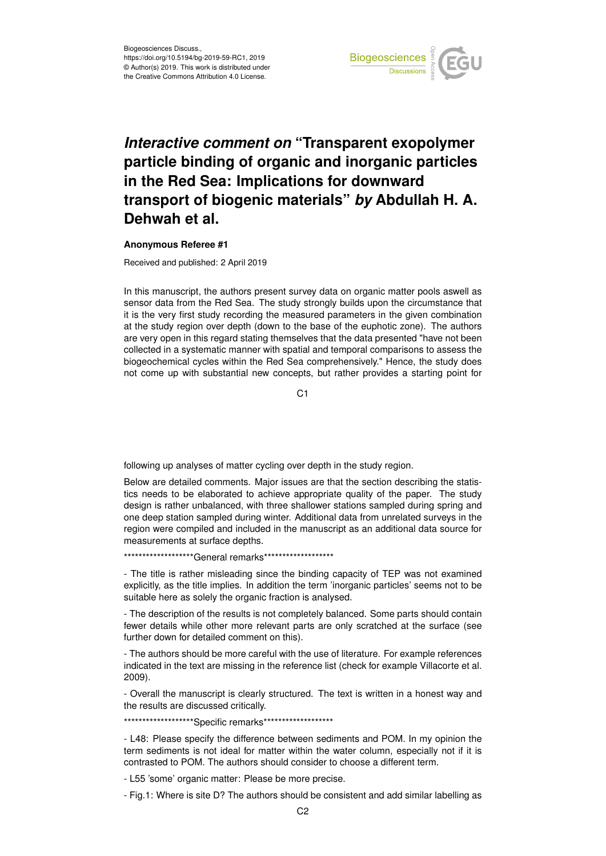

## *Interactive comment on* **"Transparent exopolymer particle binding of organic and inorganic particles in the Red Sea: Implications for downward transport of biogenic materials"** *by* **Abdullah H. A. Dehwah et al.**

## **Anonymous Referee #1**

Received and published: 2 April 2019

In this manuscript, the authors present survey data on organic matter pools aswell as sensor data from the Red Sea. The study strongly builds upon the circumstance that it is the very first study recording the measured parameters in the given combination at the study region over depth (down to the base of the euphotic zone). The authors are very open in this regard stating themselves that the data presented "have not been collected in a systematic manner with spatial and temporal comparisons to assess the biogeochemical cycles within the Red Sea comprehensively." Hence, the study does not come up with substantial new concepts, but rather provides a starting point for

 $C<sub>1</sub>$ 

following up analyses of matter cycling over depth in the study region.

Below are detailed comments. Major issues are that the section describing the statistics needs to be elaborated to achieve appropriate quality of the paper. The study design is rather unbalanced, with three shallower stations sampled during spring and one deep station sampled during winter. Additional data from unrelated surveys in the region were compiled and included in the manuscript as an additional data source for measurements at surface depths.

\*\*\*\*\*\*\*\*\*\*\*\*\*\*\*\*\*\*\*\*\*\*General remarks\*\*\*\*\*\*\*\*\*\*\*\*\*\*\*\*\*\*\*\*

- The title is rather misleading since the binding capacity of TEP was not examined explicitly, as the title implies. In addition the term 'inorganic particles' seems not to be suitable here as solely the organic fraction is analysed.

- The description of the results is not completely balanced. Some parts should contain fewer details while other more relevant parts are only scratched at the surface (see further down for detailed comment on this).

- The authors should be more careful with the use of literature. For example references indicated in the text are missing in the reference list (check for example Villacorte et al. 2009).

- Overall the manuscript is clearly structured. The text is written in a honest way and the results are discussed critically.

\*\*\*\*\*\*\*\*\*\*\*\*\*\*\*\*\*\*\*\*Specific remarks\*\*\*\*\*\*\*\*\*\*\*\*\*\*\*\*\*\*\*

- L48: Please specify the difference between sediments and POM. In my opinion the term sediments is not ideal for matter within the water column, especially not if it is contrasted to POM. The authors should consider to choose a different term.

- L55 'some' organic matter: Please be more precise.

- Fig.1: Where is site D? The authors should be consistent and add similar labelling as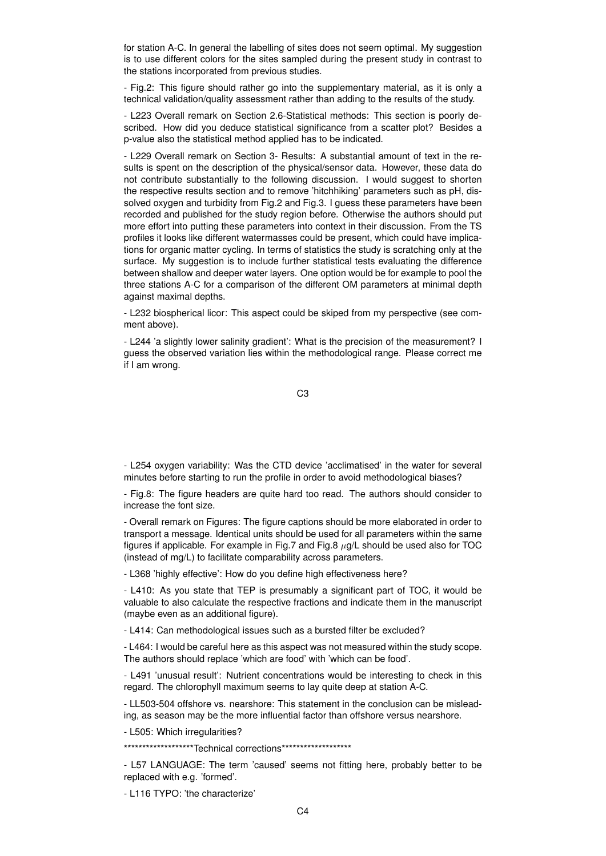for station A-C. In general the labelling of sites does not seem optimal. My suggestion is to use different colors for the sites sampled during the present study in contrast to the stations incorporated from previous studies.

- Fig.2: This figure should rather go into the supplementary material, as it is only a technical validation/quality assessment rather than adding to the results of the study.

- L223 Overall remark on Section 2.6-Statistical methods: This section is poorly described. How did you deduce statistical significance from a scatter plot? Besides a p-value also the statistical method applied has to be indicated.

- L229 Overall remark on Section 3- Results: A substantial amount of text in the results is spent on the description of the physical/sensor data. However, these data do not contribute substantially to the following discussion. I would suggest to shorten the respective results section and to remove 'hitchhiking' parameters such as pH, dissolved oxygen and turbidity from Fig.2 and Fig.3. I guess these parameters have been recorded and published for the study region before. Otherwise the authors should put more effort into putting these parameters into context in their discussion. From the TS profiles it looks like different watermasses could be present, which could have implications for organic matter cycling. In terms of statistics the study is scratching only at the surface. My suggestion is to include further statistical tests evaluating the difference between shallow and deeper water layers. One option would be for example to pool the three stations A-C for a comparison of the different OM parameters at minimal depth against maximal depths.

- L232 biospherical licor: This aspect could be skiped from my perspective (see comment above).

- L244 'a slightly lower salinity gradient': What is the precision of the measurement? I guess the observed variation lies within the methodological range. Please correct me if I am wrong.

C3

- L254 oxygen variability: Was the CTD device 'acclimatised' in the water for several minutes before starting to run the profile in order to avoid methodological biases?

- Fig.8: The figure headers are quite hard too read. The authors should consider to increase the font size.

- Overall remark on Figures: The figure captions should be more elaborated in order to transport a message. Identical units should be used for all parameters within the same figures if applicable. For example in Fig.7 and Fig.8  $\mu$ g/L should be used also for TOC (instead of mg/L) to facilitate comparability across parameters.

- L368 'highly effective': How do you define high effectiveness here?

- L410: As you state that TEP is presumably a significant part of TOC, it would be valuable to also calculate the respective fractions and indicate them in the manuscript (maybe even as an additional figure).

- L414: Can methodological issues such as a bursted filter be excluded?

- L464: I would be careful here as this aspect was not measured within the study scope. The authors should replace 'which are food' with 'which can be food'.

- L491 'unusual result': Nutrient concentrations would be interesting to check in this regard. The chlorophyll maximum seems to lay quite deep at station A-C.

- LL503-504 offshore vs. nearshore: This statement in the conclusion can be misleading, as season may be the more influential factor than offshore versus nearshore.

- L505: Which irregularities?

\*\*\*\*\*\*\*\*\*\*\*\*\*\*\*\*\*\*\*\*\*\*Technical corrections\*\*\*\*\*\*\*\*\*\*\*\*\*\*\*\*\*\*\*

- L57 LANGUAGE: The term 'caused' seems not fitting here, probably better to be replaced with e.g. 'formed'.

- L116 TYPO: 'the characterize'